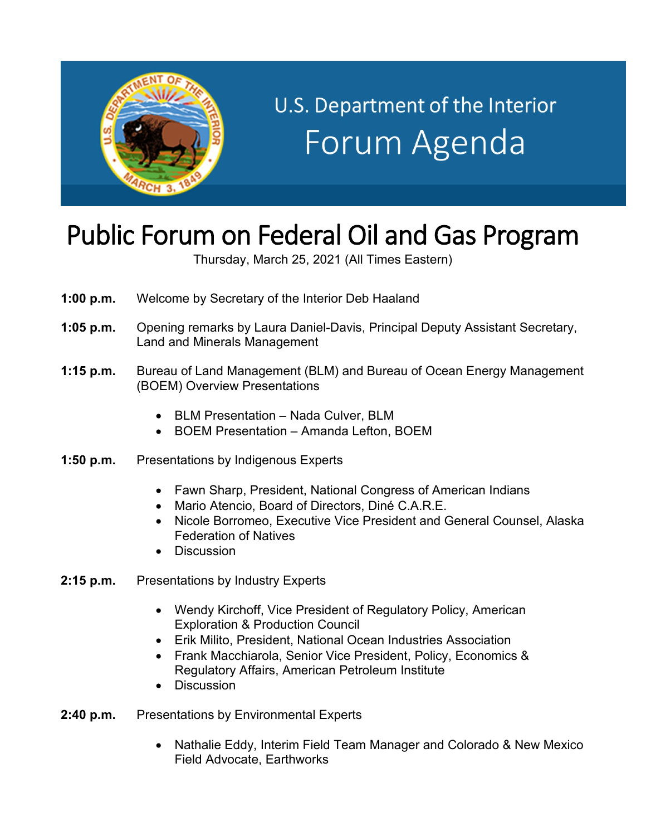

## U.S. Department of the Interior Forum Agenda

## Public Forum on Federal Oil and Gas Program

Thursday, March 25, 2021 (All Times Eastern)

- **1:00 p.m.** Welcome by Secretary of the Interior Deb Haaland
- **1:05 p.m.** Opening remarks by Laura Daniel-Davis, Principal Deputy Assistant Secretary, Land and Minerals Management
- **1:15 p.m.** Bureau of Land Management (BLM) and Bureau of Ocean Energy Management (BOEM) Overview Presentations
	- BLM Presentation Nada Culver, BLM
	- BOEM Presentation Amanda Lefton, BOEM
- **1:50 p.m.** Presentations by Indigenous Experts
	- Fawn Sharp, President, National Congress of American Indians
	- Mario Atencio, Board of Directors, Diné C.A.R.E.
	- Nicole Borromeo, Executive Vice President and General Counsel, Alaska Federation of Natives
	- Discussion
- **2:15 p.m.** Presentations by Industry Experts
	- Wendy Kirchoff, Vice President of Regulatory Policy, American Exploration & Production Council
	- Erik Milito, President, National Ocean Industries Association
	- Frank Macchiarola, Senior Vice President, Policy, Economics & Regulatory Affairs, American Petroleum Institute
	- Discussion
- **2:40 p.m.** Presentations by Environmental Experts
	- Nathalie Eddy, Interim Field Team Manager and Colorado & New Mexico Field Advocate, Earthworks